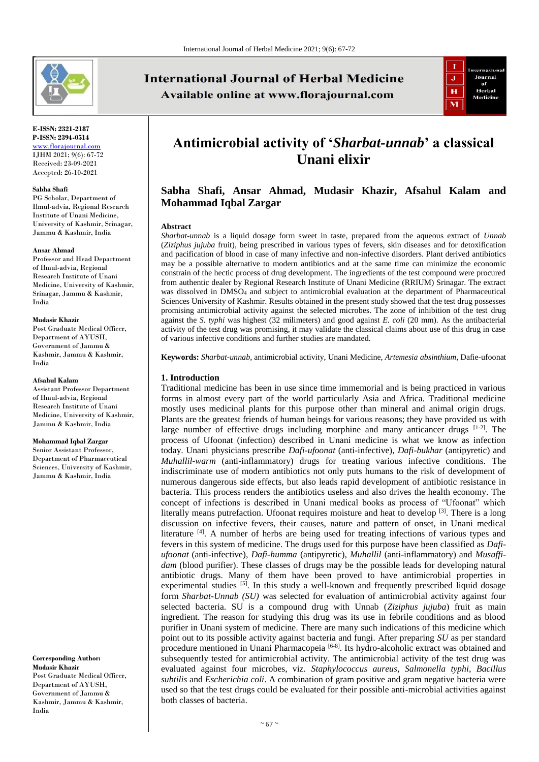

#### **E-ISSN: 2321-2187 P-ISSN: 2394-0514** [www.florajournal.com](file://///Server/test/Flora%20Journal/Issue/8%20vol/2%20issue/www.florajournal.com) IJHM 2021; 9(6): 67-72 Received: 23-09-2021

Accepted: 26-10-2021

#### **Sabha Shafi**

PG Scholar, Department of Ilmul-advia, Regional Research Institute of Unani Medicine, University of Kashmir, Srinagar, Jammu & Kashmir, India

#### **Ansar Ahmad**

Professor and Head Department of Ilmul-advia, Regional Research Institute of Unani Medicine, University of Kashmir, Srinagar, Jammu & Kashmir, India

#### **Mudasir Khazir**

Post Graduate Medical Officer, Department of AYUSH, Government of Jammu & Kashmir, Jammu & Kashmir, India

#### **Afsahul Kalam**

Assistant Professor Department of Ilmul-advia, Regional Research Institute of Unani Medicine, University of Kashmir, Jammu & Kashmir, India

#### **Mohammad Iqbal Zargar**

Senior Assistant Professor, Department of Pharmaceutical Sciences, University of Kashmir, Jammu & Kashmir, India

**Corresponding Author: Mudasir Khazir** Post Graduate Medical Officer, Department of AYUSH, Government of Jammu & Kashmir, Jammu & Kashmir, India

# **International Journal of Herbal Medicine** Available online at www.florajournal.com



# **Antimicrobial activity of '***Sharbat-unnab***' a classical Unani elixir**

# **Sabha Shafi, Ansar Ahmad, Mudasir Khazir, Afsahul Kalam and Mohammad Iqbal Zargar**

#### **Abstract**

*Sharbat-unnab* is a liquid dosage form sweet in taste, prepared from the aqueous extract of *Unnab* (*Ziziphus jujuba* fruit), being prescribed in various types of fevers, skin diseases and for detoxification and pacification of blood in case of many infective and non-infective disorders. Plant derived antibiotics may be a possible alternative to modern antibiotics and at the same time can minimize the economic constrain of the hectic process of drug development. The ingredients of the test compound were procured from authentic dealer by Regional Research Institute of Unani Medicine (RRIUM) Srinagar. The extract was dissolved in DMSO<sup>4</sup> and subject to antimicrobial evaluation at the department of Pharmaceutical Sciences University of Kashmir. Results obtained in the present study showed that the test drug possesses promising antimicrobial activity against the selected microbes. The zone of inhibition of the test drug against the *S. typhi* was highest (32 milimeters) and good against *E. coli* (20 mm). As the antibacterial activity of the test drug was promising, it may validate the classical claims about use of this drug in case of various infective conditions and further studies are mandated.

**Keywords:** *Sharbat-unnab*, antimicrobial activity, Unani Medicine, *Artemesia absinthium*, Dafie-ufoonat

#### **1. Introduction**

Traditional medicine has been in use since time immemorial and is being practiced in various forms in almost every part of the world particularly Asia and Africa. Traditional medicine mostly uses medicinal plants for this purpose other than mineral and animal origin drugs. Plants are the greatest friends of human beings for various reasons; they have provided us with large number of effective drugs including morphine and many anticancer drugs  $[1-2]$ . The process of Ufoonat (infection) described in Unani medicine is what we know as infection today. Unani physicians prescribe *Dafi-ufoonat* (anti-infective), *Dafi-bukhar* (antipyretic) and *Muhallil-warm* (anti-inflammatory) drugs for treating various infective conditions. The indiscriminate use of modern antibiotics not only puts humans to the risk of development of numerous dangerous side effects, but also leads rapid development of antibiotic resistance in bacteria. This process renders the antibiotics useless and also drives the health economy. The concept of infections is described in Unani medical books as process of "Ufoonat" which literally means putrefaction. Ufoonat requires moisture and heat to develop  $[3]$ . There is a long discussion on infective fevers, their causes, nature and pattern of onset, in Unani medical literature <sup>[4]</sup>. A number of herbs are being used for treating infections of various types and fevers in this system of medicine. The drugs used for this purpose have been classified as *Dafiufoonat* (anti-infective), *Dafi-humma* (antipyretic), *Muhallil* (anti-inflammatory) and *Musaffidam* (blood purifier). These classes of drugs may be the possible leads for developing natural antibiotic drugs. Many of them have been proved to have antimicrobial properties in experimental studies [5]. In this study a well-known and frequently prescribed liquid dosage form *Sharbat-Unnab (SU)* was selected for evaluation of antimicrobial activity against four selected bacteria. SU is a compound drug with Unnab (*Ziziphus jujuba*) fruit as main ingredient. The reason for studying this drug was its use in febrile conditions and as blood purifier in Unani system of medicine. There are many such indications of this medicine which point out to its possible activity against bacteria and fungi. After preparing *SU* as per standard procedure mentioned in Unani Pharmacopeia<sup>[6-8]</sup>. Its hydro-alcoholic extract was obtained and subsequently tested for antimicrobial activity. The antimicrobial activity of the test drug was evaluated against four microbes, viz. *Staphylococcus aureus*, *Salmonella typhi*, *Bacillus subtilis* and *Escherichia coli*. A combination of gram positive and gram negative bacteria were used so that the test drugs could be evaluated for their possible anti-microbial activities against both classes of bacteria.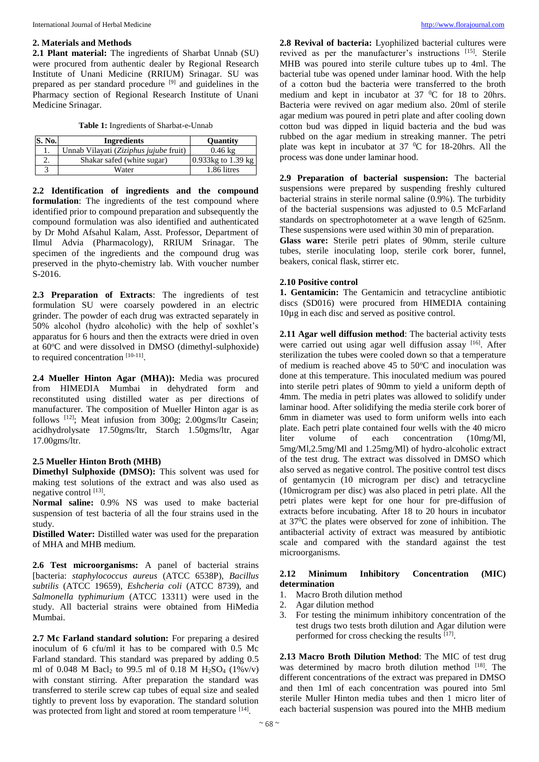#### **2. Materials and Methods**

**2.1 Plant material:** The ingredients of Sharbat Unnab (SU) were procured from authentic dealer by Regional Research Institute of Unani Medicine (RRIUM) Srinagar. SU was prepared as per standard procedure [9] and guidelines in the Pharmacy section of Regional Research Institute of Unani Medicine Srinagar.

**Table 1:** Ingredients of Sharbat-e-Unnab

| S. No. | <b>Ingredients</b>                     | <b>Ouantity</b>         |  |
|--------|----------------------------------------|-------------------------|--|
| ı.     | Unnab Vilayati (Ziziphus jujube fruit) | $0.46 \text{ kg}$       |  |
|        | Shakar safed (white sugar)             | 0.933 $kg$ to 1.39 $kg$ |  |
|        | Water                                  | 1.86 litres             |  |

**2.2 Identification of ingredients and the compound formulation**: The ingredients of the test compound where identified prior to compound preparation and subsequently the compound formulation was also identified and authenticated by Dr Mohd Afsahul Kalam, Asst. Professor, Department of Ilmul Advia (Pharmacology), RRIUM Srinagar. The specimen of the ingredients and the compound drug was preserved in the phyto-chemistry lab. With voucher number  $S-2016.$ 

**2.3 Preparation of Extracts**: The ingredients of test formulation SU were coarsely powdered in an electric grinder. The powder of each drug was extracted separately in 50% alcohol (hydro alcoholic) with the help of soxhlet's apparatus for 6 hours and then the extracts were dried in oven at 60°C and were dissolved in DMSO (dimethyl-sulphoxide) to required concentration  $[10-11]$ .

**2.4 Mueller Hinton Agar (MHA)):** Media was procured from HIMEDIA Mumbai in dehydrated form and reconstituted using distilled water as per directions of manufacturer. The composition of Mueller Hinton agar is as follows [12]; Meat infusion from 300g; 2.00gms/ltr Casein; acidhydrolysate 17.50gms/ltr, Starch 1.50gms/ltr, Agar 17.00gms/ltr.

# **2.5 Mueller Hinton Broth (MHB)**

**Dimethyl Sulphoxide (DMSO):** This solvent was used for making test solutions of the extract and was also used as negative control [13].

**Normal saline:** 0.9% NS was used to make bacterial suspension of test bacteria of all the four strains used in the study.

**Distilled Water:** Distilled water was used for the preparation of MHA and MHB medium.

**2.6 Test microorganisms:** A panel of bacterial strains [bacteria: *staphylococcus aureus* (ATCC 6538P), *Bacillus subtilis* (ATCC 19659), *Eshcheria coli* (ATCC 8739), and *Salmonella typhimurium* (ATCC 13311) were used in the study. All bacterial strains were obtained from HiMedia Mumbai.

**2.7 Mc Farland standard solution:** For preparing a desired inoculum of 6 cfu/ml it has to be compared with 0.5 Mc Farland standard. This standard was prepared by adding 0.5 ml of 0.048 M Bacl<sub>2</sub> to 99.5 ml of 0.18 M H<sub>2</sub>SO<sub>4</sub> (1%v/v) with constant stirring. After preparation the standard was transferred to sterile screw cap tubes of equal size and sealed tightly to prevent loss by evaporation. The standard solution was protected from light and stored at room temperature [14].

**2.8 Revival of bacteria:** Lyophilized bacterial cultures were revived as per the manufacturer's instructions [15]. Sterile MHB was poured into sterile culture tubes up to 4ml. The bacterial tube was opened under laminar hood. With the help of a cotton bud the bacteria were transferred to the broth medium and kept in incubator at  $37 \text{ °C}$  for 18 to 20hrs. Bacteria were revived on agar medium also. 20ml of sterile agar medium was poured in petri plate and after cooling down cotton bud was dipped in liquid bacteria and the bud was rubbed on the agar medium in streaking manner. The petri plate was kept in incubator at  $37\text{ °C}$  for 18-20hrs. All the process was done under laminar hood.

**2.9 Preparation of bacterial suspension:** The bacterial suspensions were prepared by suspending freshly cultured bacterial strains in sterile normal saline (0.9%). The turbidity of the bacterial suspensions was adjusted to 0.5 McFarland standards on spectrophotometer at a wave length of 625nm. These suspensions were used within 30 min of preparation.

**Glass ware:** Sterile petri plates of 90mm, sterile culture tubes, sterile inoculating loop, sterile cork borer, funnel, beakers, conical flask, stirrer etc.

# **2.10 Positive control**

**1. Gentamicin:** The Gentamicin and tetracycline antibiotic discs (SD016) were procured from HIMEDIA containing 10µg in each disc and served as positive control.

**2.11 Agar well diffusion method**: The bacterial activity tests were carried out using agar well diffusion assay [16]. After sterilization the tubes were cooled down so that a temperature of medium is reached above  $45$  to  $50^{\circ}$ C and inoculation was done at this temperature. This inoculated medium was poured into sterile petri plates of 90mm to yield a uniform depth of 4mm. The media in petri plates was allowed to solidify under laminar hood. After solidifying the media sterile cork borer of 6mm in diameter was used to form uniform wells into each plate. Each petri plate contained four wells with the 40 micro liter volume of each concentration (10mg/Ml, 5mg/Ml,2.5mg/Ml and 1.25mg/Ml) of hydro-alcoholic extract of the test drug. The extract was dissolved in DMSO which also served as negative control. The positive control test discs of gentamycin (10 microgram per disc) and tetracycline (10microgram per disc) was also placed in petri plate. All the petri plates were kept for one hour for pre-diffusion of extracts before incubating. After 18 to 20 hours in incubator at 37<sup>0</sup>C the plates were observed for zone of inhibition. The antibacterial activity of extract was measured by antibiotic scale and compared with the standard against the test microorganisms.

# **2.12 Minimum Inhibitory Concentration (MIC) determination**

- 1. Macro Broth dilution method
- 2. Agar dilution method
- 3. For testing the minimum inhibitory concentration of the test drugs two tests broth dilution and Agar dilution were performed for cross checking the results [17].

**2.13 Macro Broth Dilution Method**: The MIC of test drug was determined by macro broth dilution method [18]. The different concentrations of the extract was prepared in DMSO and then 1ml of each concentration was poured into 5ml sterile Muller Hinton media tubes and then 1 micro liter of each bacterial suspension was poured into the MHB medium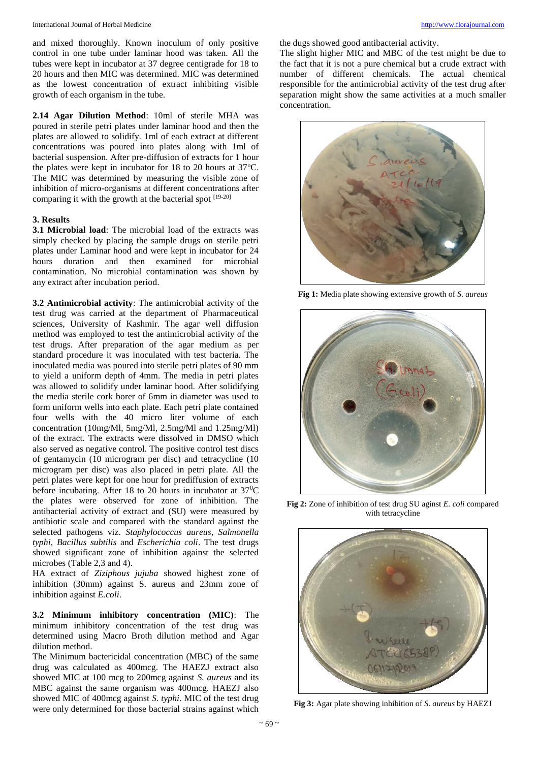and mixed thoroughly. Known inoculum of only positive control in one tube under laminar hood was taken. All the tubes were kept in incubator at 37 degree centigrade for 18 to 20 hours and then MIC was determined. MIC was determined as the lowest concentration of extract inhibiting visible growth of each organism in the tube.

**2.14 Agar Dilution Method**: 10ml of sterile MHA was poured in sterile petri plates under laminar hood and then the plates are allowed to solidify. 1ml of each extract at different concentrations was poured into plates along with 1ml of bacterial suspension. After pre-diffusion of extracts for 1 hour the plates were kept in incubator for 18 to 20 hours at  $37^{\circ}$ C. The MIC was determined by measuring the visible zone of inhibition of micro-organisms at different concentrations after comparing it with the growth at the bacterial spot [19-20]

#### **3. Results**

**3.1 Microbial load**: The microbial load of the extracts was simply checked by placing the sample drugs on sterile petri plates under Laminar hood and were kept in incubator for 24 hours duration and then examined for microbial contamination. No microbial contamination was shown by any extract after incubation period.

**3.2 Antimicrobial activity**: The antimicrobial activity of the test drug was carried at the department of Pharmaceutical sciences, University of Kashmir. The agar well diffusion method was employed to test the antimicrobial activity of the test drugs. After preparation of the agar medium as per standard procedure it was inoculated with test bacteria. The inoculated media was poured into sterile petri plates of 90 mm to yield a uniform depth of 4mm. The media in petri plates was allowed to solidify under laminar hood. After solidifying the media sterile cork borer of 6mm in diameter was used to form uniform wells into each plate. Each petri plate contained four wells with the 40 micro liter volume of each concentration (10mg/Ml, 5mg/Ml, 2.5mg/Ml and 1.25mg/Ml) of the extract. The extracts were dissolved in DMSO which also served as negative control. The positive control test discs of gentamycin (10 microgram per disc) and tetracycline (10 microgram per disc) was also placed in petri plate. All the petri plates were kept for one hour for prediffusion of extracts before incubating. After 18 to 20 hours in incubator at  $37^{\circ}$ C the plates were observed for zone of inhibition. The antibacterial activity of extract and (SU) were measured by antibiotic scale and compared with the standard against the selected pathogens viz. *Staphylococcus aureus*, *Salmonella typhi*, *Bacillus subtilis* and *Escherichia coli*. The test drugs showed significant zone of inhibition against the selected microbes (Table 2,3 and 4).

HA extract of *Ziziphous jujuba* showed highest zone of inhibition (30mm) against S. aureus and 23mm zone of inhibition against *E.coli*.

**3.2 Minimum inhibitory concentration (MIC)**: The minimum inhibitory concentration of the test drug was determined using Macro Broth dilution method and Agar dilution method.

The Minimum bactericidal concentration (MBC) of the same drug was calculated as 400mcg. The HAEZJ extract also showed MIC at 100 mcg to 200mcg against *S. aureus* and its MBC against the same organism was 400mcg. HAEZJ also showed MIC of 400mcg against *S. typhi*. MIC of the test drug were only determined for those bacterial strains against which the dugs showed good antibacterial activity.

The slight higher MIC and MBC of the test might be due to the fact that it is not a pure chemical but a crude extract with number of different chemicals. The actual chemical responsible for the antimicrobial activity of the test drug after separation might show the same activities at a much smaller concentration.



**Fig 1:** Media plate showing extensive growth of *S. aureus*



**Fig 2:** Zone of inhibition of test drug SU aginst *E. coli* compared with tetracycline

![](_page_2_Picture_16.jpeg)

**Fig 3:** Agar plate showing inhibition of *S. aureus* by HAEZJ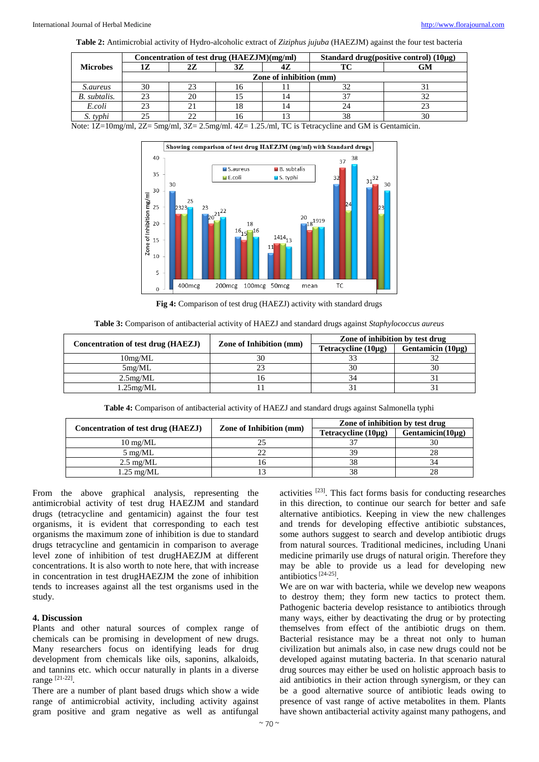**Table 2:** Antimicrobial activity of Hydro-alcoholic extract of *Ziziphus jujuba* (HAEZJM) against the four test bacteria

|                     | Concentration of test drug (HAEZJM)(mg/ml) |    | Standard drug(positive control) $(10\mu g)$ |     |    |    |
|---------------------|--------------------------------------------|----|---------------------------------------------|-----|----|----|
| <b>Microbes</b>     | 1Z                                         | 27 | 3Z                                          | 47. |    | GM |
|                     | Zone of inhibition (mm)                    |    |                                             |     |    |    |
| <i>S.aureus</i>     | 30                                         | 23 | 16                                          |     |    |    |
| <b>B.</b> subtalis. | 23                                         | 20 |                                             |     |    |    |
| E.coli              | 23                                         |    | 18                                          |     |    |    |
| S. typhi            |                                            |    | ıь                                          |     | 38 | 30 |

Note:  $1Z=10$ mg/ml,  $2Z=5$ mg/ml,  $3Z=2.5$ mg/ml.  $4Z=1.25$ ./ml, TC is Tetracycline and GM is Gentamicin.

![](_page_3_Figure_5.jpeg)

**Fig 4:** Comparison of test drug (HAEZJ) activity with standard drugs

| Table 3: Comparison of antibacterial activity of HAEZJ and standard drugs against Staphylococcus aureus |  |
|---------------------------------------------------------------------------------------------------------|--|
|---------------------------------------------------------------------------------------------------------|--|

| Concentration of test drug (HAEZJ) | <b>Zone of Inhibition (mm)</b> | Zone of inhibition by test drug |                        |
|------------------------------------|--------------------------------|---------------------------------|------------------------|
|                                    |                                | Tetracycline $(10\mu g)$        | Gentamicin $(10\mu g)$ |
| 10mg/ML                            |                                |                                 |                        |
| 5mg/ML                             |                                | 30                              |                        |
| 2.5mg/ML                           |                                |                                 |                        |
| $1.25$ mg/ML                       |                                |                                 |                        |

**Table 4:** Comparison of antibacterial activity of HAEZJ and standard drugs against Salmonella typhi

|                                    |                                | Zone of inhibition by test drug |                        |
|------------------------------------|--------------------------------|---------------------------------|------------------------|
| Concentration of test drug (HAEZJ) | <b>Zone of Inhibition (mm)</b> | Tetracycline $(10\mu g)$        | Gentamicin( $10\mu$ g) |
| $10 \text{ mg}/\text{ML}$          |                                |                                 |                        |
| $5 \text{ mg}/\text{ML}$           |                                | 39                              | 28                     |
| $2.5 \text{ mg}/\text{ML}$         |                                | 38                              | 34                     |
| $1.25 \text{ mg}/\text{ML}$        |                                |                                 | 28                     |

From the above graphical analysis, representing the antimicrobial activity of test drug HAEZJM and standard drugs (tetracycline and gentamicin) against the four test organisms, it is evident that corresponding to each test organisms the maximum zone of inhibition is due to standard drugs tetracycline and gentamicin in comparison to average level zone of inhibition of test drugHAEZJM at different concentrations. It is also worth to note here, that with increase in concentration in test drugHAEZJM the zone of inhibition tends to increases against all the test organisms used in the study.

# **4. Discussion**

Plants and other natural sources of complex range of chemicals can be promising in development of new drugs. Many researchers focus on identifying leads for drug development from chemicals like oils, saponins, alkaloids, and tannins etc. which occur naturally in plants in a diverse range [21-22].

There are a number of plant based drugs which show a wide range of antimicrobial activity, including activity against gram positive and gram negative as well as antifungal

activities  $[23]$ . This fact forms basis for conducting researches in this direction, to continue our search for better and safe alternative antibiotics. Keeping in view the new challenges and trends for developing effective antibiotic substances, some authors suggest to search and develop antibiotic drugs from natural sources. Traditional medicines, including Unani medicine primarily use drugs of natural origin. Therefore they may be able to provide us a lead for developing new antibiotics<sup>[24-25]</sup>.

We are on war with bacteria, while we develop new weapons to destroy them; they form new tactics to protect them. Pathogenic bacteria develop resistance to antibiotics through many ways, either by deactivating the drug or by protecting themselves from effect of the antibiotic drugs on them. Bacterial resistance may be a threat not only to human civilization but animals also, in case new drugs could not be developed against mutating bacteria. In that scenario natural drug sources may either be used on holistic approach basis to aid antibiotics in their action through synergism, or they can be a good alternative source of antibiotic leads owing to presence of vast range of active metabolites in them. Plants have shown antibacterial activity against many pathogens, and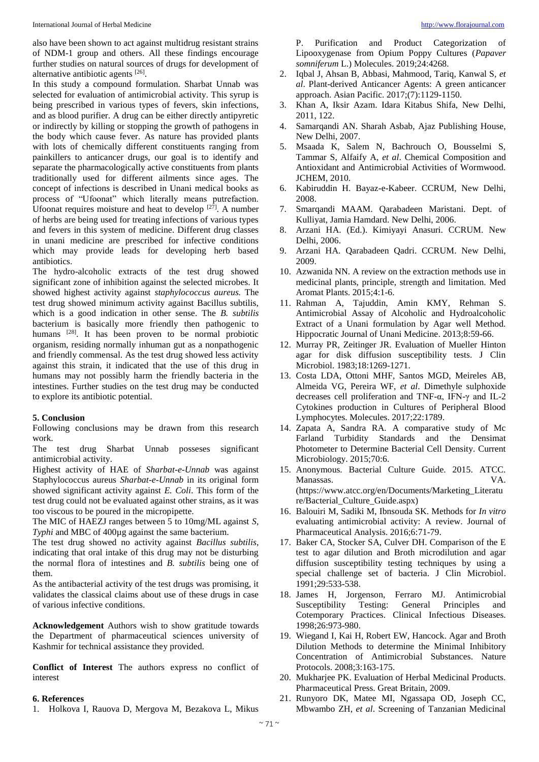also have been shown to act against multidrug resistant strains of NDM-1 group and others. All these findings encourage further studies on natural sources of drugs for development of alternative antibiotic agents [26].

In this study a compound formulation. Sharbat Unnab was selected for evaluation of antimicrobial activity. This syrup is being prescribed in various types of fevers, skin infections, and as blood purifier. A drug can be either directly antipyretic or indirectly by killing or stopping the growth of pathogens in the body which cause fever. As nature has provided plants with lots of chemically different constituents ranging from painkillers to anticancer drugs, our goal is to identify and separate the pharmacologically active constituents from plants traditionally used for different ailments since ages. The concept of infections is described in Unani medical books as process of "Ufoonat" which literally means putrefaction. Ufoonat requires moisture and heat to develop  $[27]$ . A number of herbs are being used for treating infections of various types and fevers in this system of medicine. Different drug classes in unani medicine are prescribed for infective conditions which may provide leads for developing herb based antibiotics.

The hydro-alcoholic extracts of the test drug showed significant zone of inhibition against the selected microbes. It showed highest activity against *staphylococcus aureus.* The test drug showed minimum activity against Bacillus subtilis, which is a good indication in other sense. The *B. subtilis* bacterium is basically more friendly then pathogenic to humans <sup>[28]</sup>. It has been proven to be normal probiotic organism, residing normally inhuman gut as a nonpathogenic and friendly commensal. As the test drug showed less activity against this strain, it indicated that the use of this drug in humans may not possibly harm the friendly bacteria in the intestines. Further studies on the test drug may be conducted to explore its antibiotic potential.

#### **5. Conclusion**

Following conclusions may be drawn from this research work.

The test drug Sharbat Unnab posseses significant antimicrobial activity.

Highest activity of HAE of *Sharbat-e-Unnab* was against Staphylococcus aureus *Sharbat-e-Unnab* in its original form showed significant activity against *E. Coli*. This form of the test drug could not be evaluated against other strains, as it was too viscous to be poured in the micropipette.

The MIC of HAEZJ ranges between 5 to 10mg/ML against *S, Typhi* and MBC of 400 $\mu$ g against the same bacterium.

The test drug showed no activity against *Bacillus subtilis*, indicating that oral intake of this drug may not be disturbing the normal flora of intestines and *B. subtilis* being one of them.

As the antibacterial activity of the test drugs was promising, it validates the classical claims about use of these drugs in case of various infective conditions.

**Acknowledgement** Authors wish to show gratitude towards the Department of pharmaceutical sciences university of Kashmir for technical assistance they provided.

**Conflict of Interest** The authors express no conflict of interest

#### **6. References**

1. Holkova I, Rauova D, Mergova M, Bezakova L, Mikus

P. Purification and Product Categorization of Lipooxygenase from Opium Poppy Cultures (*Papaver somniferum* L.) Molecules. 2019;24:4268.

- 2. Iqbal J, Ahsan B, Abbasi, Mahmood, Tariq, Kanwal S, *et al*. Plant-derived Anticancer Agents: A green anticancer approach. Asian Pacific. 2017;(7):1129-1150.
- 3. Khan A, Iksir Azam. Idara Kitabus Shifa, New Delhi, 2011, 122.
- 4. Samarqandi AN. Sharah Asbab, Ajaz Publishing House, New Delhi, 2007.
- 5. Msaada K, Salem N, Bachrouch O, Bousselmi S, Tammar S, Alfaify A, *et al*. Chemical Composition and Antioxidant and Antimicrobial Activities of Wormwood. JCHEM, 2010.
- 6. Kabiruddin H. Bayaz-e-Kabeer. CCRUM, New Delhi, 2008.
- 7. Smarqandi MAAM. Qarabadeen Maristani. Dept. of Kulliyat, Jamia Hamdard. New Delhi, 2006.
- 8. Arzani HA. (Ed.). Kimiyayi Anasuri. CCRUM. New Delhi, 2006.
- 9. Arzani HA. Qarabadeen Qadri. CCRUM. New Delhi, 2009.
- 10. Azwanida NN. A review on the extraction methods use in medicinal plants, principle, strength and limitation. Med Aromat Plants. 2015;4:1-6.
- 11. Rahman A, Tajuddin, Amin KMY, Rehman S. Antimicrobial Assay of Alcoholic and Hydroalcoholic Extract of a Unani formulation by Agar well Method. Hippocratic Journal of Unani Medicine. 2013;8:59-66.
- 12. Murray PR, Zeitinger JR. Evaluation of Mueller Hinton agar for disk diffusion susceptibility tests. J Clin Microbiol. 1983;18:1269-1271.
- 13. Costa LDA, Ottoni MHF, Santos MGD, Meireles AB, Almeida VG, Pereira WF, *et al*. Dimethyle sulphoxide decreases cell proliferation and TNF-α, IFN-γ and IL-2 Cytokines production in Cultures of Peripheral Blood Lymphocytes. Molecules. 2017;22:1789.
- 14. Zapata A, Sandra RA. A comparative study of Mc Farland Turbidity Standards and the Densimat Photometer to Determine Bacterial Cell Density. Current Microbiology. 2015;70:6.
- 15. Anonymous. Bacterial Culture Guide. 2015. ATCC. Manassas. VA. (https://www.atcc.org/en/Documents/Marketing\_Literatu re/Bacterial\_Culture\_Guide.aspx)
- 16. Balouiri M, Sadiki M, Ibnsouda SK. Methods for *In vitro* evaluating antimicrobial activity: A review. Journal of Pharmaceutical Analysis. 2016;6:71-79.
- 17. Baker CA, Stocker SA, Culver DH. Comparison of the E test to agar dilution and Broth microdilution and agar diffusion susceptibility testing techniques by using a special challenge set of bacteria. J Clin Microbiol. 1991;29:533-538.
- 18. James H, Jorgenson, Ferraro MJ. Antimicrobial Susceptibility Testing: General Principles and Cotemporary Practices. Clinical Infectious Diseases. 1998;26:973-980.
- 19. Wiegand I, Kai H, Robert EW, Hancock. Agar and Broth Dilution Methods to determine the Minimal Inhibitory Concentration of Antimicrobial Substances. Nature Protocols. 2008;3:163-175.
- 20. Mukharjee PK. Evaluation of Herbal Medicinal Products. Pharmaceutical Press. Great Britain, 2009.
- 21. Runyoro DK, Matee MI, Ngassapa OD, Joseph CC, Mbwambo ZH, *et al*. Screening of Tanzanian Medicinal